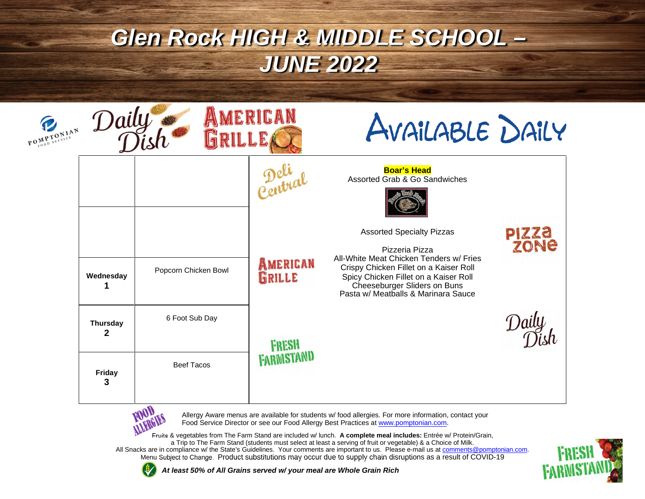| POMPTONIAN | Daily                           |                      | MERICAN                    | AVAILABLE DAILY                                                                                                                         |                      |
|------------|---------------------------------|----------------------|----------------------------|-----------------------------------------------------------------------------------------------------------------------------------------|----------------------|
|            |                                 |                      | 2.440                      | <b>Boar's Head</b><br>Assorted Grab & Go Sandwiches                                                                                     |                      |
|            |                                 |                      | AMERICAN                   | <b>Assorted Specialty Pizzas</b><br>Pizzeria Pizza<br>All-White Meat Chicken Tenders w/ Fries<br>Crispy Chicken Fillet on a Kaiser Roll | <b>PIZZA</b><br>zone |
|            | Wednesday                       | Popcorn Chicken Bowl | GRILLE                     | Spicy Chicken Fillet on a Kaiser Roll<br>Cheeseburger Sliders on Buns<br>Pasta w/ Meatballs & Marinara Sauce                            |                      |
|            | <b>Thursday</b><br>$\mathbf{2}$ | 6 Foot Sub Day       | <b>FRESH</b><br>FARMISTAND |                                                                                                                                         |                      |
|            | Friday<br>3                     | <b>Beef Tacos</b>    |                            |                                                                                                                                         |                      |



Allergy Aware menus are available for students w/ food allergies. For more information, contact your Food Service Director or see our Food Allergy Best Practices at www.pomptonian.com.

Fruits & vegetables from The Farm Stand are included w/ lunch. **A complete meal includes:** Entrée w/ Protein/Grain, a Trip to The Farm Stand (students must select at least a serving of fruit or vegetable) & a Choice of Milk.

All Snacks are in compliance w/ the State's Guidelines. Your comments are important to us. Please e-mail us at comments@pomptonian.com. Menu Subject to Change. Product substitutions may occur due to supply chain disruptions as a result of COVID-19



*At least 50% of All Grains served w/ your meal are Whole Grain Rich*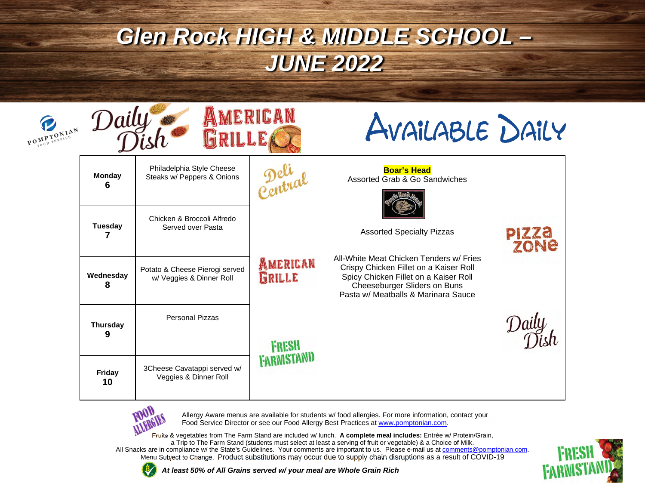| POMPTONIAN | Daily                                    |                                                            | MERICAN                    | AVAILABLE DAILY                                                                                                                                                                                   |                             |
|------------|------------------------------------------|------------------------------------------------------------|----------------------------|---------------------------------------------------------------------------------------------------------------------------------------------------------------------------------------------------|-----------------------------|
|            | <b>Monday</b><br>6                       | Philadelphia Style Cheese<br>Steaks w/ Peppers & Onions    | Peliar                     | <b>Boar's Head</b><br>Assorted Grab & Go Sandwiches                                                                                                                                               |                             |
|            | <b>Tuesday</b><br>Served over Pasta<br>7 | Chicken & Broccoli Alfredo                                 |                            | <b>Assorted Specialty Pizzas</b>                                                                                                                                                                  | <b>PIZZA</b><br><b>ZONE</b> |
|            | Wednesday<br>8                           | Potato & Cheese Pierogi served<br>w/ Veggies & Dinner Roll | <b>AMERICAN</b><br>GRILLE  | All-White Meat Chicken Tenders w/ Fries<br>Crispy Chicken Fillet on a Kaiser Roll<br>Spicy Chicken Fillet on a Kaiser Roll<br>Cheeseburger Sliders on Buns<br>Pasta w/ Meatballs & Marinara Sauce |                             |
|            | <b>Thursday</b><br>9<br>Friday<br>10     | <b>Personal Pizzas</b>                                     | FRESH<br><b>FARMISTAND</b> |                                                                                                                                                                                                   |                             |
|            |                                          | 3Cheese Cavatappi served w/<br>Veggies & Dinner Roll       |                            |                                                                                                                                                                                                   |                             |



Allergy Aware menus are available for students w/ food allergies. For more information, contact your Food Service Director or see our Food Allergy Best Practices at www.pomptonian.com.

Fruits & vegetables from The Farm Stand are included w/ lunch. **A complete meal includes:** Entrée w/ Protein/Grain, a Trip to The Farm Stand (students must select at least a serving of fruit or vegetable) & a Choice of Milk.

All Snacks are in compliance w/ the State's Guidelines. Your comments are important to us. Please e-mail us at comments@pomptonian.com. Menu Subject to Change. Product substitutions may occur due to supply chain disruptions as a result of COVID-19



*At least 50% of All Grains served w/ your meal are Whole Grain Rich*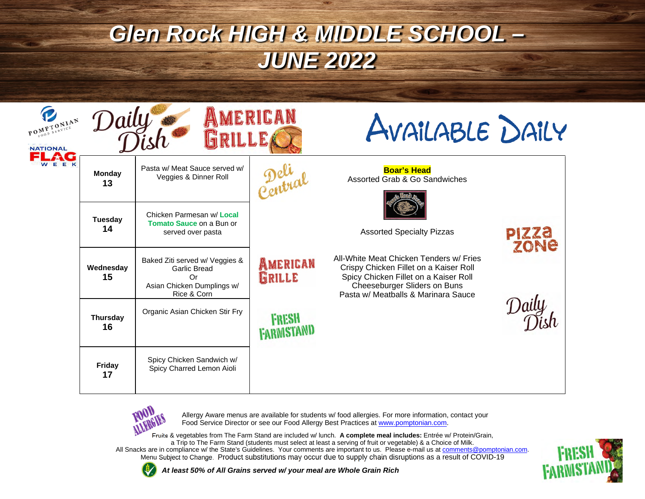| POMPTONIAN<br><b>NATIONAL</b> | Daily                 |                                                                                                   | MERICAN                    | AVAILABLE DAILY                                                                                                                                                                                   |                      |
|-------------------------------|-----------------------|---------------------------------------------------------------------------------------------------|----------------------------|---------------------------------------------------------------------------------------------------------------------------------------------------------------------------------------------------|----------------------|
| EEK                           | <b>Monday</b><br>13   | Pasta w/ Meat Sauce served w/<br>Veggies & Dinner Roll                                            | Peliar                     | <b>Boar's Head</b><br>Assorted Grab & Go Sandwiches                                                                                                                                               |                      |
|                               | <b>Tuesday</b><br>14  | Chicken Parmesan w/ Local<br><b>Tomato Sauce on a Bun or</b><br>served over pasta                 |                            | <b>Assorted Specialty Pizzas</b>                                                                                                                                                                  | PIZZO<br><b>70Ne</b> |
|                               | Wednesday<br>15       | Baked Ziti served w/ Veggies &<br>Garlic Bread<br>Or<br>Asian Chicken Dumplings w/<br>Rice & Corn | AMERICAN<br>GRILLE         | All-White Meat Chicken Tenders w/ Fries<br>Crispy Chicken Fillet on a Kaiser Roll<br>Spicy Chicken Fillet on a Kaiser Roll<br>Cheeseburger Sliders on Buns<br>Pasta w/ Meatballs & Marinara Sauce |                      |
|                               | <b>Thursday</b><br>16 | Organic Asian Chicken Stir Fry                                                                    | FRESH<br><b>FARMISTAND</b> |                                                                                                                                                                                                   |                      |
|                               | Friday<br>17          | Spicy Chicken Sandwich w/<br>Spicy Charred Lemon Aioli                                            |                            |                                                                                                                                                                                                   |                      |



Allergy Aware menus are available for students w/ food allergies. For more information, contact your Food Service Director or see our Food Allergy Best Practices at www.pomptonian.com.

Fruits & vegetables from The Farm Stand are included w/ lunch. **A complete meal includes:** Entrée w/ Protein/Grain, a Trip to The Farm Stand (students must select at least a serving of fruit or vegetable) & a Choice of Milk.

All Snacks are in compliance w/ the State's Guidelines. Your comments are important to us. Please e-mail us at comments@pomptonian.com. Menu Subject to Change. Product substitutions may occur due to supply chain disruptions as a result of COVID-19